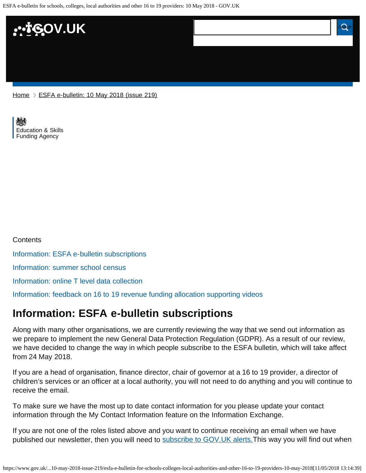ESFA e-bulletin for schools, colleges, local authorities and other 16 to 19 providers: 10 May 2018 - GOV.UK



[Home](https://www.gov.uk/) > [ESFA e-bulletin: 10 May 2018 \(issue 219\)](https://www.gov.uk/government/publications/esfa-e-bulletin-10-may-2018-issue-219)

[Education & Skills](https://www.gov.uk/government/organisations/education-and-skills-funding-agency)  [Funding Agency](https://www.gov.uk/government/organisations/education-and-skills-funding-agency)

**Contents** [Information: ESFA e-bulletin subscriptions](#page-0-0) [Information: summer school census](#page-1-0) [Information: online T level data collection](#page-1-1) [Information: feedback on 16 to 19 revenue funding allocation supporting videos](#page-1-2)

### <span id="page-0-0"></span>**Information: ESFA e-bulletin subscriptions**

Along with many other organisations, we are currently reviewing the way that we send out information as we prepare to implement the new General Data Protection Regulation (GDPR). As a result of our review, we have decided to change the way in which people subscribe to the ESFA bulletin, which will take affect from 24 May 2018.

If you are a head of organisation, finance director, chair of governor at a 16 to 19 provider, a director of children's services or an officer at a local authority, you will not need to do anything and you will continue to receive the email.

To make sure we have the most up to date contact information for you please update your contact information through the My Contact Information feature on the Information Exchange.

If you are not one of the roles listed above and you want to continue receiving an email when we have published our newsletter, then you will need to subscribe to GOV. UK alerts. This way you will find out when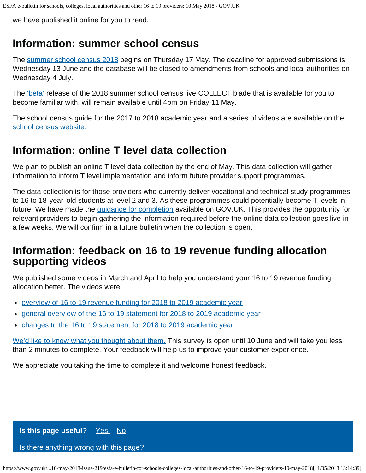we have published it online for you to read.

## <span id="page-1-0"></span>**Information: summer school census**

The [summer school census 2018](https://www.gov.uk/guidance/school-census) begins on Thursday 17 May. The deadline for approved submissions is Wednesday 13 June and the database will be closed to amendments from schools and local authorities on Wednesday 4 July.

The ['beta'](https://sa.education.gov.uk/idp/Authn/UserPassword) release of the 2018 summer school census live COLLECT blade that is available for you to become familiar with, will remain available until 4pm on Friday 11 May.

The school census guide for the 2017 to 2018 academic year and a series of videos are available on the [school census website.](https://www.gov.uk/guidance/school-census)

# <span id="page-1-1"></span>**Information: online T level data collection**

We plan to publish an online T level data collection by the end of May. This data collection will gather information to inform T level implementation and inform future provider support programmes.

The data collection is for those providers who currently deliver vocational and technical study programmes to 16 to 18-year-old students at level 2 and 3. As these programmes could potentially become T levels in future. We have made the *guidance for completion* available on GOV.UK. This provides the opportunity for relevant providers to begin gathering the information required before the online data collection goes live in a few weeks. We will confirm in a future bulletin when the collection is open.

### <span id="page-1-2"></span>**Information: feedback on 16 to 19 revenue funding allocation supporting videos**

We published some videos in March and April to help you understand your 16 to 19 revenue funding allocation better. The videos were:

- [overview of 16 to 19 revenue funding for 2018 to 2019 academic year](https://tinyurl.com/y853fez4)
- [general overview of the 16 to 19 statement for 2018 to 2019 academic year](https://tinyurl.com/yc2k2g87)  $\bullet$
- [changes to the 16 to 19 statement for 2018 to 2019 academic year](https://tinyurl.com/ydajt36j)

[We'd like to know what you thought about them.](https://www.smartsurvey.co.uk/s/6U3CK/) This survey is open until 10 June and will take you less than 2 minutes to complete. Your feedback will help us to improve your customer experience.

We appreciate you taking the time to complete it and welcome honest feedback.

**Is this page useful?** [Yes No](https://www.gov.uk/contact/govuk)

[Is there anything wrong with this page?](https://www.gov.uk/contact/govuk)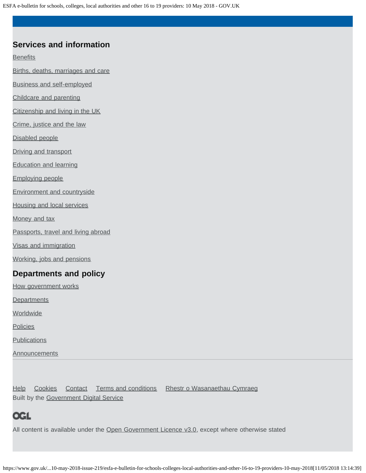ESFA e-bulletin for schools, colleges, local authorities and other 16 to 19 providers: 10 May 2018 - GOV.UK

#### **Services and information**

**[Benefits](https://www.gov.uk/browse/benefits)** 

[Births, deaths, marriages and care](https://www.gov.uk/browse/births-deaths-marriages)

[Business and self-employed](https://www.gov.uk/browse/business)

[Childcare and parenting](https://www.gov.uk/browse/childcare-parenting)

[Citizenship and living in the UK](https://www.gov.uk/browse/citizenship)

[Crime, justice and the law](https://www.gov.uk/browse/justice)

[Disabled people](https://www.gov.uk/browse/disabilities)

[Driving and transport](https://www.gov.uk/browse/driving)

[Education and learning](https://www.gov.uk/browse/education)

[Employing people](https://www.gov.uk/browse/employing-people)

[Environment and countryside](https://www.gov.uk/browse/environment-countryside)

[Housing and local services](https://www.gov.uk/browse/housing-local-services)

[Money and tax](https://www.gov.uk/browse/tax)

[Passports, travel and living abroad](https://www.gov.uk/browse/abroad)

[Visas and immigration](https://www.gov.uk/browse/visas-immigration)

[Working, jobs and pensions](https://www.gov.uk/browse/working)

#### **Departments and policy**

[How government works](https://www.gov.uk/government/how-government-works)

**[Departments](https://www.gov.uk/government/organisations)** 

**[Worldwide](https://www.gov.uk/world)** 

**[Policies](https://www.gov.uk/government/policies)** 

**[Publications](https://www.gov.uk/government/publications)** 

**[Announcements](https://www.gov.uk/government/announcements)** 

[Help](https://www.gov.uk/help) [Cookies](https://www.gov.uk/help/cookies) [Contact](https://www.gov.uk/contact) [Terms and conditions](https://www.gov.uk/help/terms-conditions) [Rhestr o Wasanaethau Cymraeg](https://www.gov.uk/cymraeg) Built by the [Government Digital Service](https://www.gov.uk/government/organisations/government-digital-service)

### **OGL**

All content is available under the [Open Government Licence v3.0,](https://www.nationalarchives.gov.uk/doc/open-government-licence/version/3/) except where otherwise stated